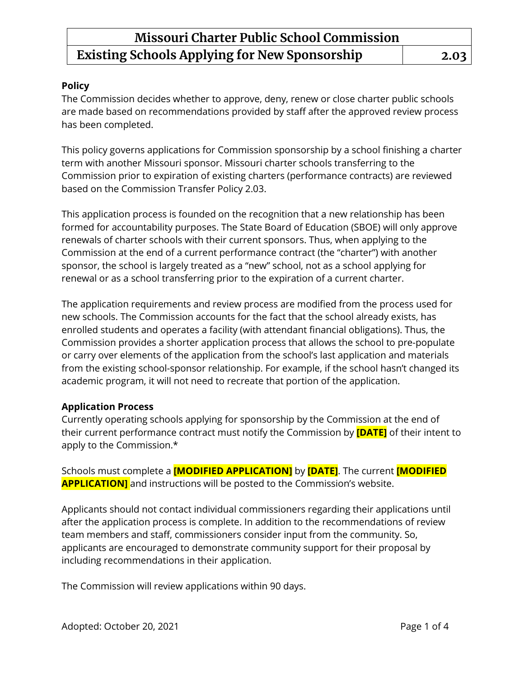#### **Policy**

The Commission decides whether to approve, deny, renew or close charter public schools are made based on recommendations provided by staff after the approved review process has been completed.

This policy governs applications for Commission sponsorship by a school finishing a charter term with another Missouri sponsor. Missouri charter schools transferring to the Commission prior to expiration of existing charters (performance contracts) are reviewed based on the Commission Transfer Policy 2.03.

This application process is founded on the recognition that a new relationship has been formed for accountability purposes. The State Board of Education (SBOE) will only approve renewals of charter schools with their current sponsors. Thus, when applying to the Commission at the end of a current performance contract (the "charter") with another sponsor, the school is largely treated as a "new" school, not as a school applying for renewal or as a school transferring prior to the expiration of a current charter.

The application requirements and review process are modified from the process used for new schools. The Commission accounts for the fact that the school already exists, has enrolled students and operates a facility (with attendant financial obligations). Thus, the Commission provides a shorter application process that allows the school to pre-populate or carry over elements of the application from the school's last application and materials from the existing school-sponsor relationship. For example, if the school hasn't changed its academic program, it will not need to recreate that portion of the application.

### **Application Process**

Currently operating schools applying for sponsorship by the Commission at the end of their current performance contract must notify the Commission by **[DATE]** of their intent to apply to the Commission.\*

Schools must complete a **[MODIFIED APPLICATION]** by **[DATE]**. The current **[MODIFIED APPLICATION]** and instructions will be posted to the Commission's website.

Applicants should not contact individual commissioners regarding their applications until after the application process is complete. In addition to the recommendations of review team members and staff, commissioners consider input from the community. So, applicants are encouraged to demonstrate community support for their proposal by including recommendations in their application.

The Commission will review applications within 90 days.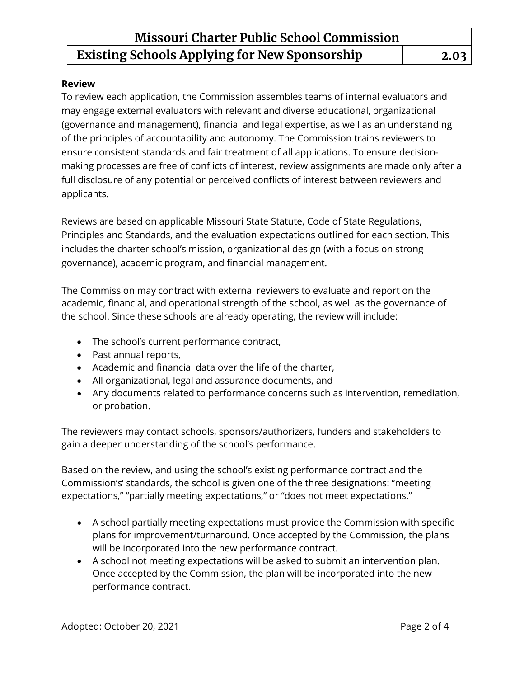#### **Review**

To review each application, the Commission assembles teams of internal evaluators and may engage external evaluators with relevant and diverse educational, organizational (governance and management), financial and legal expertise, as well as an understanding of the principles of accountability and autonomy. The Commission trains reviewers to ensure consistent standards and fair treatment of all applications. To ensure decisionmaking processes are free of conflicts of interest, review assignments are made only after a full disclosure of any potential or perceived conflicts of interest between reviewers and applicants.

Reviews are based on applicable Missouri State Statute, Code of State Regulations, Principles and Standards, and the evaluation expectations outlined for each section. This includes the charter school's mission, organizational design (with a focus on strong governance), academic program, and financial management.

The Commission may contract with external reviewers to evaluate and report on the academic, financial, and operational strength of the school, as well as the governance of the school. Since these schools are already operating, the review will include:

- The school's current performance contract,
- Past annual reports,
- Academic and financial data over the life of the charter,
- All organizational, legal and assurance documents, and
- Any documents related to performance concerns such as intervention, remediation, or probation.

The reviewers may contact schools, sponsors/authorizers, funders and stakeholders to gain a deeper understanding of the school's performance.

Based on the review, and using the school's existing performance contract and the Commission's' standards, the school is given one of the three designations: "meeting expectations," "partially meeting expectations," or "does not meet expectations."

- A school partially meeting expectations must provide the Commission with specific plans for improvement/turnaround. Once accepted by the Commission, the plans will be incorporated into the new performance contract.
- A school not meeting expectations will be asked to submit an intervention plan. Once accepted by the Commission, the plan will be incorporated into the new performance contract.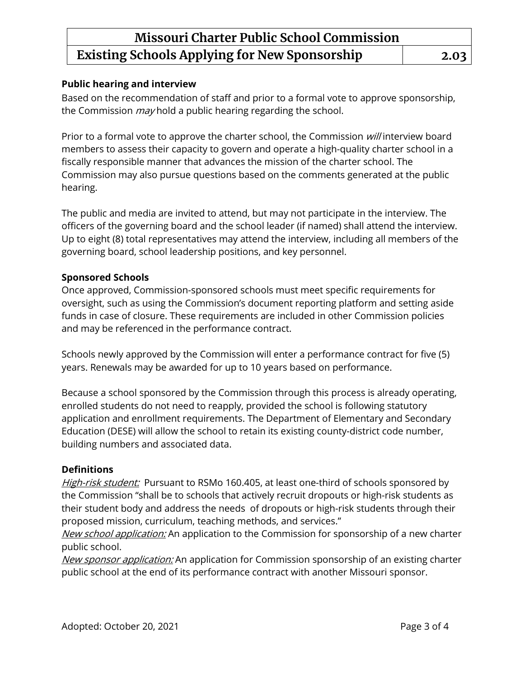#### **Public hearing and interview**

Based on the recommendation of staff and prior to a formal vote to approve sponsorship, the Commission *may* hold a public hearing regarding the school.

Prior to a formal vote to approve the charter school, the Commission will interview board members to assess their capacity to govern and operate a high-quality charter school in a fiscally responsible manner that advances the mission of the charter school. The Commission may also pursue questions based on the comments generated at the public hearing.

The public and media are invited to attend, but may not participate in the interview. The officers of the governing board and the school leader (if named) shall attend the interview. Up to eight (8) total representatives may attend the interview, including all members of the governing board, school leadership positions, and key personnel.

### **Sponsored Schools**

Once approved, Commission-sponsored schools must meet specific requirements for oversight, such as using the Commission's document reporting platform and setting aside funds in case of closure. These requirements are included in other Commission policies and may be referenced in the performance contract.

Schools newly approved by the Commission will enter a performance contract for five (5) years. Renewals may be awarded for up to 10 years based on performance.

Because a school sponsored by the Commission through this process is already operating, enrolled students do not need to reapply, provided the school is following statutory application and enrollment requirements. The Department of Elementary and Secondary Education (DESE) will allow the school to retain its existing county-district code number, building numbers and associated data.

#### **Definitions**

High-risk student: Pursuant to RSMo 160.405, at least one-third of schools sponsored by the Commission "shall be to schools that actively recruit dropouts or high-risk students as their student body and address the needs of dropouts or high-risk students through their proposed mission, curriculum, teaching methods, and services."

New school application: An application to the Commission for sponsorship of a new charter public school.

New sponsor application: An application for Commission sponsorship of an existing charter public school at the end of its performance contract with another Missouri sponsor.